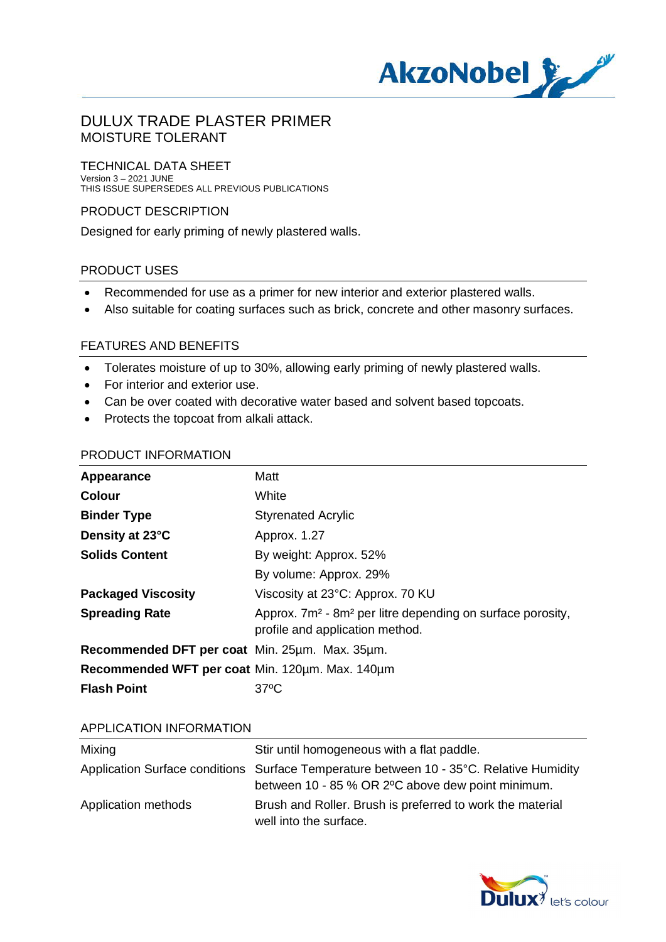

#### TECHNICAL DATA SHEET Version 3 – 2021 JUNE THIS ISSUE SUPERSEDES ALL PREVIOUS PUBLICATIONS

#### PRODUCT DESCRIPTION

Designed for early priming of newly plastered walls.

#### PRODUCT USES

- · Recommended for use as a primer for new interior and exterior plastered walls.
- · Also suitable for coating surfaces such as brick, concrete and other masonry surfaces.

#### FEATURES AND BENEFITS

- · Tolerates moisture of up to 30%, allowing early priming of newly plastered walls.
- · For interior and exterior use.
- · Can be over coated with decorative water based and solvent based topcoats.
- · Protects the topcoat from alkali attack.

#### PRODUCT INFORMATION

| Appearance                                      | Matt                                                                                                                  |  |
|-------------------------------------------------|-----------------------------------------------------------------------------------------------------------------------|--|
| <b>Colour</b>                                   | White                                                                                                                 |  |
| <b>Binder Type</b>                              | <b>Styrenated Acrylic</b>                                                                                             |  |
| Density at 23°C                                 | Approx. 1.27                                                                                                          |  |
| <b>Solids Content</b>                           | By weight: Approx. 52%                                                                                                |  |
|                                                 | By volume: Approx. 29%                                                                                                |  |
| <b>Packaged Viscosity</b>                       | Viscosity at 23°C: Approx. 70 KU                                                                                      |  |
| <b>Spreading Rate</b>                           | Approx. 7m <sup>2</sup> - 8m <sup>2</sup> per litre depending on surface porosity,<br>profile and application method. |  |
| Recommended DFT per coat Min. 25um. Max. 35um.  |                                                                                                                       |  |
| Recommended WFT per coat Min. 120um. Max. 140um |                                                                                                                       |  |
| <b>Flash Point</b>                              | $37^{\circ}$ C                                                                                                        |  |

#### APPLICATION INFORMATION

| Mixing              | Stir until homogeneous with a flat paddle.                                                                                                   |
|---------------------|----------------------------------------------------------------------------------------------------------------------------------------------|
|                     | Application Surface conditions Surface Temperature between 10 - 35°C. Relative Humidity<br>between 10 - 85 % OR 2°C above dew point minimum. |
| Application methods | Brush and Roller. Brush is preferred to work the material<br>well into the surface.                                                          |

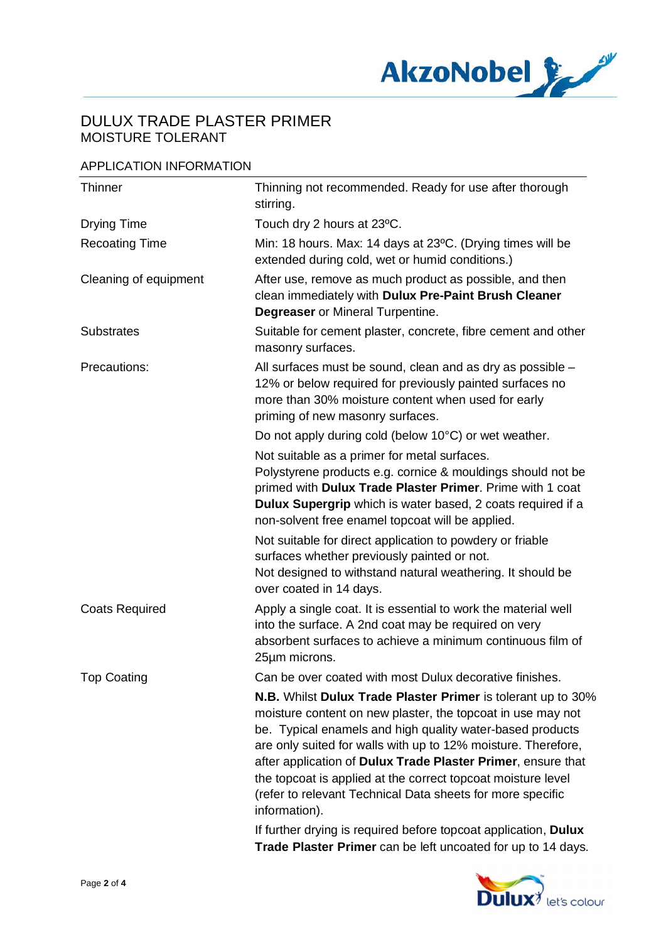

### APPLICATION INFORMATION

| Thinner               | Thinning not recommended. Ready for use after thorough<br>stirring.                                                                                                                                                                                                                                                                                                                                                                                                      |
|-----------------------|--------------------------------------------------------------------------------------------------------------------------------------------------------------------------------------------------------------------------------------------------------------------------------------------------------------------------------------------------------------------------------------------------------------------------------------------------------------------------|
| <b>Drying Time</b>    | Touch dry 2 hours at 23°C.                                                                                                                                                                                                                                                                                                                                                                                                                                               |
| <b>Recoating Time</b> | Min: 18 hours. Max: 14 days at 23°C. (Drying times will be<br>extended during cold, wet or humid conditions.)                                                                                                                                                                                                                                                                                                                                                            |
| Cleaning of equipment | After use, remove as much product as possible, and then<br>clean immediately with Dulux Pre-Paint Brush Cleaner<br><b>Degreaser</b> or Mineral Turpentine.                                                                                                                                                                                                                                                                                                               |
| <b>Substrates</b>     | Suitable for cement plaster, concrete, fibre cement and other<br>masonry surfaces.                                                                                                                                                                                                                                                                                                                                                                                       |
| Precautions:          | All surfaces must be sound, clean and as dry as possible -<br>12% or below required for previously painted surfaces no<br>more than 30% moisture content when used for early<br>priming of new masonry surfaces.                                                                                                                                                                                                                                                         |
|                       | Do not apply during cold (below 10°C) or wet weather.                                                                                                                                                                                                                                                                                                                                                                                                                    |
|                       | Not suitable as a primer for metal surfaces.<br>Polystyrene products e.g. cornice & mouldings should not be<br>primed with Dulux Trade Plaster Primer. Prime with 1 coat<br>Dulux Supergrip which is water based, 2 coats required if a<br>non-solvent free enamel topcoat will be applied.                                                                                                                                                                              |
|                       | Not suitable for direct application to powdery or friable<br>surfaces whether previously painted or not.<br>Not designed to withstand natural weathering. It should be<br>over coated in 14 days.                                                                                                                                                                                                                                                                        |
| <b>Coats Required</b> | Apply a single coat. It is essential to work the material well<br>into the surface. A 2nd coat may be required on very<br>absorbent surfaces to achieve a minimum continuous film of<br>25µm microns.                                                                                                                                                                                                                                                                    |
| <b>Top Coating</b>    | Can be over coated with most Dulux decorative finishes.                                                                                                                                                                                                                                                                                                                                                                                                                  |
|                       | N.B. Whilst Dulux Trade Plaster Primer is tolerant up to 30%<br>moisture content on new plaster, the topcoat in use may not<br>be. Typical enamels and high quality water-based products<br>are only suited for walls with up to 12% moisture. Therefore,<br>after application of Dulux Trade Plaster Primer, ensure that<br>the topcoat is applied at the correct topcoat moisture level<br>(refer to relevant Technical Data sheets for more specific<br>information). |
|                       | If further drying is required before topcoat application, Dulux<br>Trade Plaster Primer can be left uncoated for up to 14 days.                                                                                                                                                                                                                                                                                                                                          |

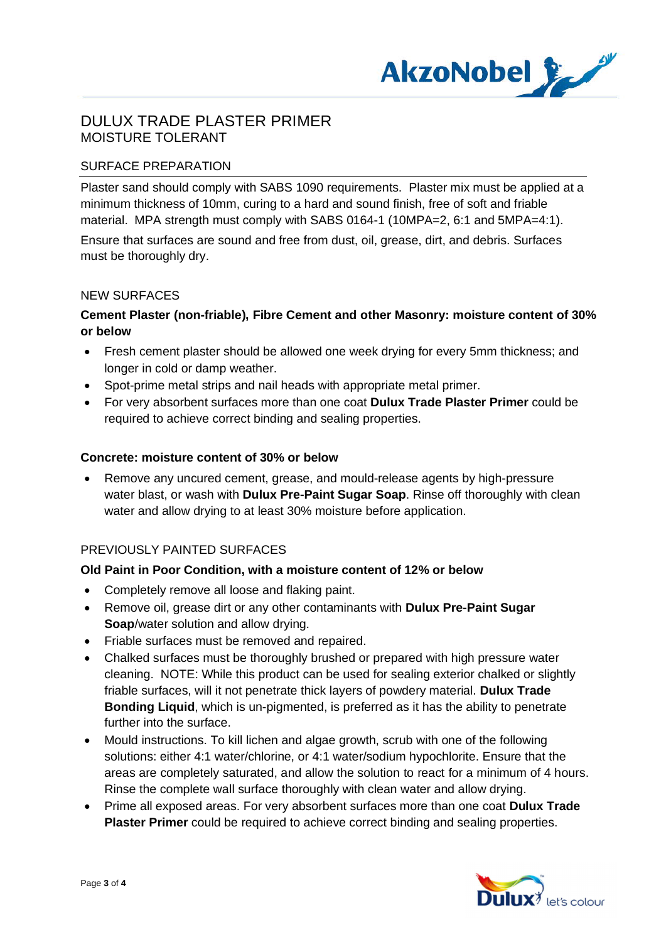

### SURFACE PREPARATION

Plaster sand should comply with SABS 1090 requirements. Plaster mix must be applied at a minimum thickness of 10mm, curing to a hard and sound finish, free of soft and friable material. MPA strength must comply with SABS 0164-1 (10MPA=2, 6:1 and 5MPA=4:1). Ensure that surfaces are sound and free from dust, oil, grease, dirt, and debris. Surfaces must be thoroughly dry.

#### NEW SURFACES

### **Cement Plaster (non-friable), Fibre Cement and other Masonry: moisture content of 30% or below**

- · Fresh cement plaster should be allowed one week drying for every 5mm thickness; and longer in cold or damp weather.
- · Spot-prime metal strips and nail heads with appropriate metal primer.
- · For very absorbent surfaces more than one coat **Dulux Trade Plaster Primer** could be required to achieve correct binding and sealing properties.

#### **Concrete: moisture content of 30% or below**

· Remove any uncured cement, grease, and mould-release agents by high-pressure water blast, or wash with **Dulux Pre-Paint Sugar Soap**. Rinse off thoroughly with clean water and allow drying to at least 30% moisture before application.

#### PREVIOUSLY PAINTED SURFACES

#### **Old Paint in Poor Condition, with a moisture content of 12% or below**

- · Completely remove all loose and flaking paint.
- · Remove oil, grease dirt or any other contaminants with **Dulux Pre-Paint Sugar Soap**/water solution and allow drying.
- · Friable surfaces must be removed and repaired.
- · Chalked surfaces must be thoroughly brushed or prepared with high pressure water cleaning. NOTE: While this product can be used for sealing exterior chalked or slightly friable surfaces, will it not penetrate thick layers of powdery material. **Dulux Trade Bonding Liquid**, which is un-pigmented, is preferred as it has the ability to penetrate further into the surface.
- · Mould instructions. To kill lichen and algae growth, scrub with one of the following solutions: either 4:1 water/chlorine, or 4:1 water/sodium hypochlorite. Ensure that the areas are completely saturated, and allow the solution to react for a minimum of 4 hours. Rinse the complete wall surface thoroughly with clean water and allow drying.
- · Prime all exposed areas. For very absorbent surfaces more than one coat **Dulux Trade Plaster Primer** could be required to achieve correct binding and sealing properties.